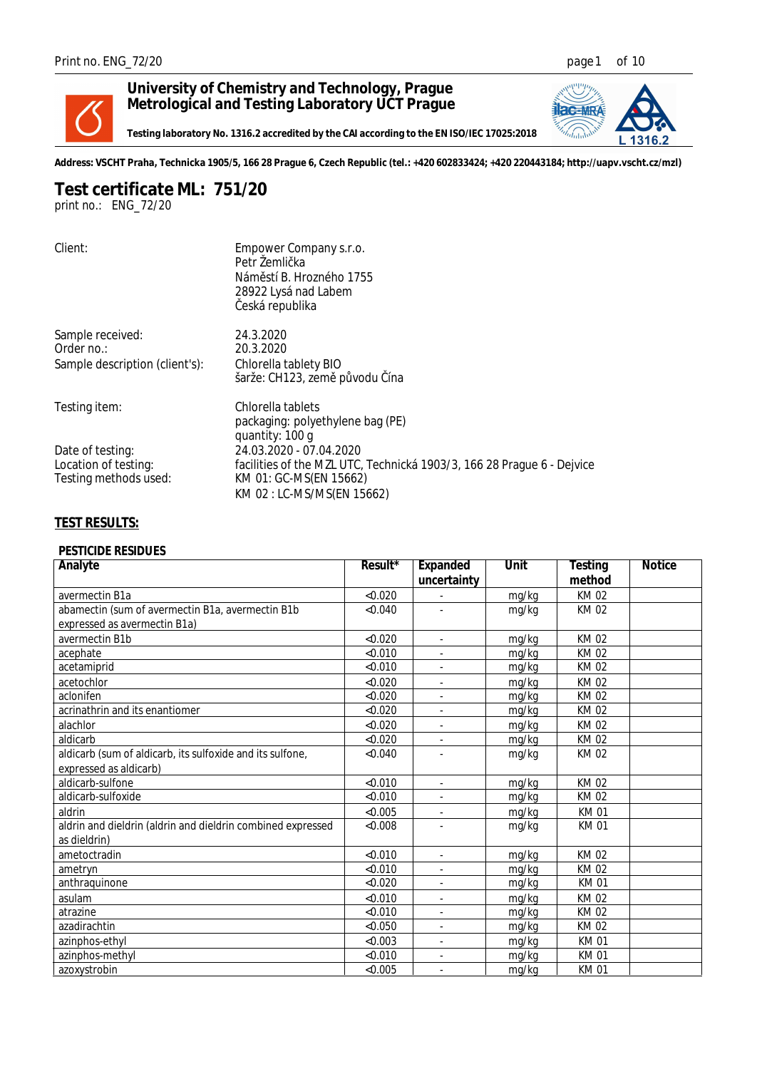

## **University of Chemistry and Technology, Prague Metrological and Testing Laboratory UCT Prague**



**Testing laboratory No. 1316.2 accredited by the CAI according to the EN ISO/IEC 17025:2018**

**Address: VSCHT Praha, Technicka 1905/5, 166 28 Prague 6, Czech Republic (tel.: +420 602833424; +420 220443184; http://uapv.vscht.cz/mzl)**

**Test certificate ML: 751/20** *print no.: ENG\_72/20*

| Client:                        | Empower Company s.r.o.<br>Petr Žemli ka                                |
|--------------------------------|------------------------------------------------------------------------|
|                                | Nám stí B. Hrozného 1755                                               |
|                                | 28922 Lysá nad Labem<br>eská republika                                 |
| Sample received:               | 24.3.2020                                                              |
| Order no.:                     | 20.3.2020                                                              |
| Sample description (client's): | Chlorella tablety BIO                                                  |
|                                | šarže: CH123, zem p vodu ína                                           |
| Testing item:                  | Chlorella tablets                                                      |
|                                | packaging: polyethylene bag (PE)                                       |
|                                | quantity: 100 g                                                        |
| Date of testing:               | 24.03.2020 - 07.04.2020                                                |
| Location of testing:           | facilities of the MZL UTC, Technická 1903/3, 166 28 Prague 6 - Dejvice |
| Testing methods used:          | KM 01: GC-MS(EN 15662)                                                 |
|                                | KM 02 : LC-MS/MS(EN 15662)                                             |

## **TEST RESULTS:**

## *PESTICIDE RESIDUES*

| Analyte                                                     | Result* | Expanded                 | Unit  | Testing     | <b>Notice</b> |
|-------------------------------------------------------------|---------|--------------------------|-------|-------------|---------------|
|                                                             |         | uncertainty              |       | method      |               |
| avermectin B1a                                              | < 0.020 |                          | mg/kg | <b>KM02</b> |               |
| abamectin (sum of avermectin B1a, avermectin B1b            | < 0.040 |                          | mg/kg | KM 02       |               |
| expressed as avermectin B1a)                                |         |                          |       |             |               |
| avermectin B1b                                              | < 0.020 | ÷.                       | mg/kg | <b>KM02</b> |               |
| acephate                                                    | < 0.010 |                          | mg/kg | KM 02       |               |
| acetamiprid                                                 | < 0.010 | ÷.                       | mg/kg | KM 02       |               |
| acetochlor                                                  | < 0.020 | ٠                        | mg/kg | KM 02       |               |
| aclonifen                                                   | < 0.020 |                          | mg/kg | <b>KM02</b> |               |
| acrinathrin and its enantiomer                              | < 0.020 |                          | mg/kg | KM 02       |               |
| alachlor                                                    | < 0.020 |                          | mg/kg | <b>KM02</b> |               |
| aldicarb                                                    | < 0.020 | ÷.                       | mg/kg | KM 02       |               |
| aldicarb (sum of aldicarb, its sulfoxide and its sulfone,   | < 0.040 |                          | mg/kg | KM 02       |               |
| expressed as aldicarb)                                      |         |                          |       |             |               |
| aldicarb-sulfone                                            | < 0.010 | $\overline{\phantom{a}}$ | mg/kg | <b>KM02</b> |               |
| aldicarb-sulfoxide                                          | < 0.010 |                          | mg/kg | <b>KM02</b> |               |
| aldrin                                                      | < 0.005 | $\blacksquare$           | mg/kg | KM 01       |               |
| aldrin and dieldrin (aldrin and dieldrin combined expressed | < 0.008 |                          | mg/kg | <b>KM01</b> |               |
| as dieldrin)                                                |         |                          |       |             |               |
| ametoctradin                                                | < 0.010 |                          | mg/kg | KM 02       |               |
| ametryn                                                     | < 0.010 |                          | mg/kg | KM 02       |               |
| anthraquinone                                               | < 0.020 |                          | mg/kg | <b>KM01</b> |               |
| asulam                                                      | < 0.010 |                          | mg/kg | <b>KM02</b> |               |
| atrazine                                                    | < 0.010 | ٠                        | mg/kg | KM 02       |               |
| azadirachtin                                                | < 0.050 |                          | mg/kg | <b>KM02</b> |               |
| azinphos-ethyl                                              | < 0.003 |                          | mg/kg | KM 01       |               |
| azinphos-methyl                                             | < 0.010 |                          | mg/kg | <b>KM01</b> |               |
| azoxystrobin                                                | < 0.005 |                          | mg/kg | <b>KM01</b> |               |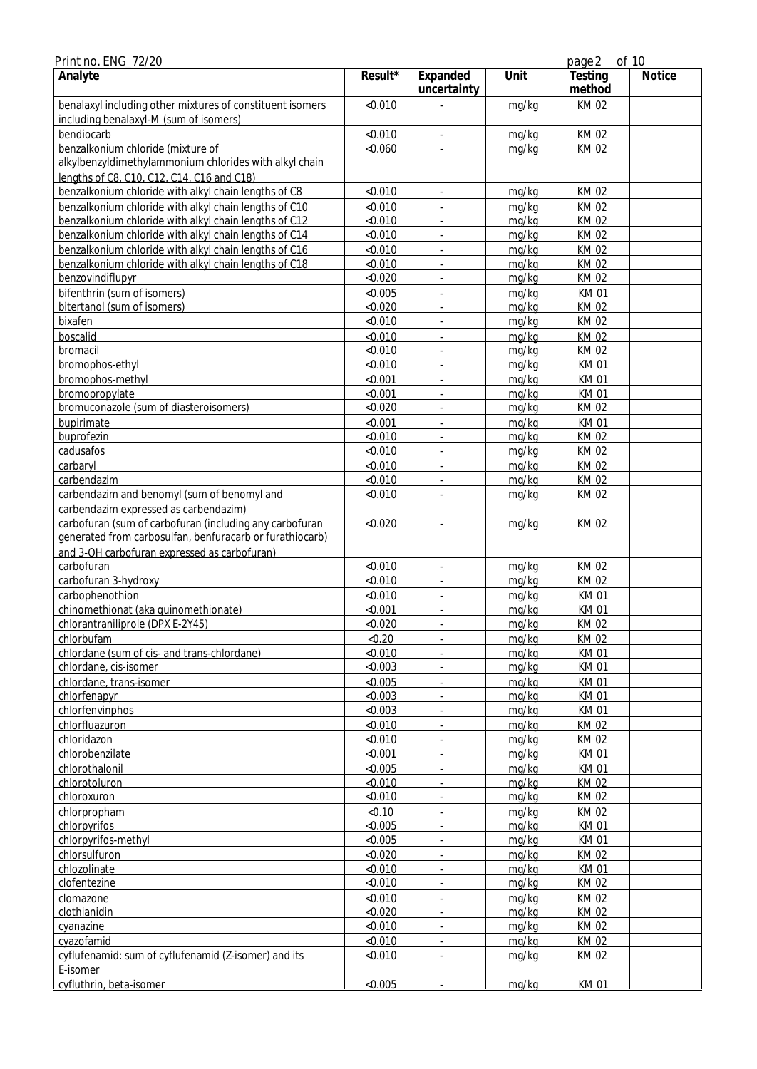| Print no. ENG_72/20                                                                                                 |         |                             |       | page 2            | of 10         |
|---------------------------------------------------------------------------------------------------------------------|---------|-----------------------------|-------|-------------------|---------------|
| Analyte                                                                                                             | Result* | Expanded<br>uncertainty     | Unit  | Testing<br>method | <b>Notice</b> |
| benalaxyl including other mixtures of constituent isomers<br>including benalaxyl-M (sum of isomers)                 | < 0.010 |                             | mg/kg | KM 02             |               |
| bendiocarb                                                                                                          | < 0.010 | ×.                          | mg/kg | <b>KM02</b>       |               |
| benzalkonium chloride (mixture of                                                                                   | < 0.060 |                             | mg/kg | KM 02             |               |
| alkylbenzyldimethylammonium chlorides with alkyl chain                                                              |         |                             |       |                   |               |
| lengths of C8, C10, C12, C14, C16 and C18)                                                                          |         |                             |       |                   |               |
| benzalkonium chloride with alkyl chain lengths of C8                                                                | < 0.010 |                             | mg/kg | <b>KM02</b>       |               |
| benzalkonium chloride with alkyl chain lengths of C10                                                               | < 0.010 | $\mathcal{L}$               | mg/kg | <b>KM02</b>       |               |
| benzalkonium chloride with alkyl chain lengths of C12                                                               | < 0.010 | $\overline{\phantom{a}}$    | mg/kg | <b>KM02</b>       |               |
| benzalkonium chloride with alkyl chain lengths of C14                                                               | < 0.010 | $\overline{\phantom{a}}$    | mg/kg | KM 02             |               |
| benzalkonium chloride with alkyl chain lengths of C16                                                               | < 0.010 | $\overline{\phantom{a}}$    | mg/kg | <b>KM02</b>       |               |
| benzalkonium chloride with alkyl chain lengths of C18                                                               | < 0.010 | ÷.                          | mg/kg | <b>KM02</b>       |               |
| benzovindiflupyr                                                                                                    | < 0.020 | $\overline{\phantom{a}}$    | mg/kg | KM 02             |               |
| bifenthrin (sum of isomers)                                                                                         | < 0.005 | $\overline{\phantom{a}}$    | mg/kg | <b>KM01</b>       |               |
| bitertanol (sum of isomers)                                                                                         | < 0.020 |                             | mg/kg | <b>KM02</b>       |               |
| bixafen                                                                                                             | < 0.010 |                             | mg/kg | <b>KM02</b>       |               |
| boscalid                                                                                                            | < 0.010 | $\mathcal{L}_{\mathcal{A}}$ | mg/kg | <b>KM02</b>       |               |
| bromacil                                                                                                            | < 0.010 | $\overline{\phantom{a}}$    | mg/kg | <b>KM02</b>       |               |
| bromophos-ethyl                                                                                                     | < 0.010 | ÷,                          | mg/kg | KM 01             |               |
| bromophos-methyl                                                                                                    | < 0.001 |                             | mg/kg | KM 01             |               |
| bromopropylate                                                                                                      | < 0.001 |                             | mg/kg | KM 01             |               |
| bromuconazole (sum of diasteroisomers)                                                                              | < 0.020 | ÷,                          | mg/kg | KM 02             |               |
| bupirimate                                                                                                          | < 0.001 | ÷,                          | mg/kg | <b>KM01</b>       |               |
| buprofezin                                                                                                          | < 0.010 |                             | mg/kg | KM 02             |               |
| cadusafos                                                                                                           | < 0.010 |                             | mg/kg | <b>KM02</b>       |               |
| carbaryl                                                                                                            | < 0.010 | $\overline{\phantom{a}}$    | mg/kg | <b>KM02</b>       |               |
| carbendazim                                                                                                         | < 0.010 | ÷,                          | mg/kg | <b>KM02</b>       |               |
| carbendazim and benomyl (sum of benomyl and                                                                         | < 0.010 |                             | mg/kg | KM 02             |               |
| carbendazim expressed as carbendazim)                                                                               |         |                             |       |                   |               |
| carbofuran (sum of carbofuran (including any carbofuran<br>generated from carbosulfan, benfuracarb or furathiocarb) | < 0.020 |                             | mg/kg | <b>KM02</b>       |               |
| and 3-OH carbofuran expressed as carbofuran)                                                                        |         |                             |       |                   |               |
| carbofuran                                                                                                          | < 0.010 |                             | mg/kg | KM 02             |               |
| carbofuran 3-hydroxy                                                                                                | < 0.010 | $\overline{\phantom{a}}$    | mg/kg | <b>KM02</b>       |               |
| carbophenothion                                                                                                     | < 0.010 | $\sim$                      | mg/kg | <b>KM01</b>       |               |
| chinomethionat (aka quinomethionate)                                                                                | < 0.001 | $\overline{\phantom{a}}$    | mg/kg | <b>KM01</b>       |               |
| chlorantraniliprole (DPX E-2Y45)                                                                                    | < 0.020 | $\overline{\phantom{a}}$    | mg/kg | KM 02             |               |
| chlorbufam                                                                                                          | < 0.20  | $\blacksquare$              | mg/kg | KM 02             |               |
| chlordane (sum of cis- and trans-chlordane)                                                                         | < 0.010 |                             | mg/kg | <b>KM01</b>       |               |
| chlordane, cis-isomer                                                                                               | < 0.003 | $\overline{\phantom{a}}$    | mg/kg | <b>KM01</b>       |               |
| chlordane, trans-isomer                                                                                             | < 0.005 | ÷,                          | mg/kg | <b>KM01</b>       |               |
| chlorfenapyr                                                                                                        | < 0.003 | ÷,                          | mg/kg | <b>KM01</b>       |               |
| chlorfenvinphos                                                                                                     | < 0.003 |                             | mg/kg | KM 01             |               |
| chlorfluazuron                                                                                                      | < 0.010 | $\omega$                    | mg/kg | KM 02             |               |
| chloridazon                                                                                                         | < 0.010 | ä,                          | mg/kg | KM 02             |               |
| chlorobenzilate                                                                                                     | < 0.001 | $\blacksquare$              | mg/kg | KM 01             |               |
| chlorothalonil                                                                                                      | < 0.005 | $\overline{\phantom{a}}$    | mg/kg | KM 01             |               |
| chlorotoluron                                                                                                       | < 0.010 | ÷.                          | mg/kg | KM 02             |               |
| chloroxuron                                                                                                         | < 0.010 | ÷,                          | mg/kg | KM 02             |               |
| chlorpropham                                                                                                        | < 0.10  | ÷,                          | mg/kg | KM 02             |               |
| chlorpyrifos                                                                                                        | < 0.005 | ÷,                          | mg/kg | <b>KM01</b>       |               |
| chlorpyrifos-methyl                                                                                                 | < 0.005 |                             | mg/kg | KM 01             |               |
| chlorsulfuron                                                                                                       | < 0.020 | ÷.                          | mg/kg | <b>KM02</b>       |               |
| chlozolinate                                                                                                        | < 0.010 | ÷,                          | mg/kg | KM 01             |               |
| clofentezine                                                                                                        | < 0.010 | $\overline{\phantom{a}}$    | mg/kg | KM 02             |               |
| clomazone                                                                                                           | < 0.010 | $\blacksquare$              | mg/kg | KM 02             |               |
| clothianidin                                                                                                        | < 0.020 | $\blacksquare$              | mg/kg | KM 02             |               |
| cyanazine                                                                                                           | < 0.010 | ÷,                          | mg/kg | KM 02             |               |
| cyazofamid                                                                                                          | < 0.010 | ÷,                          | mg/kg | KM 02             |               |
| cyflufenamid: sum of cyflufenamid (Z-isomer) and its                                                                | < 0.010 |                             | mg/kg | KM 02             |               |
| E-isomer                                                                                                            |         |                             |       |                   |               |
| cyfluthrin, beta-isomer                                                                                             | < 0.005 | ä,                          | mg/kg | KM 01             |               |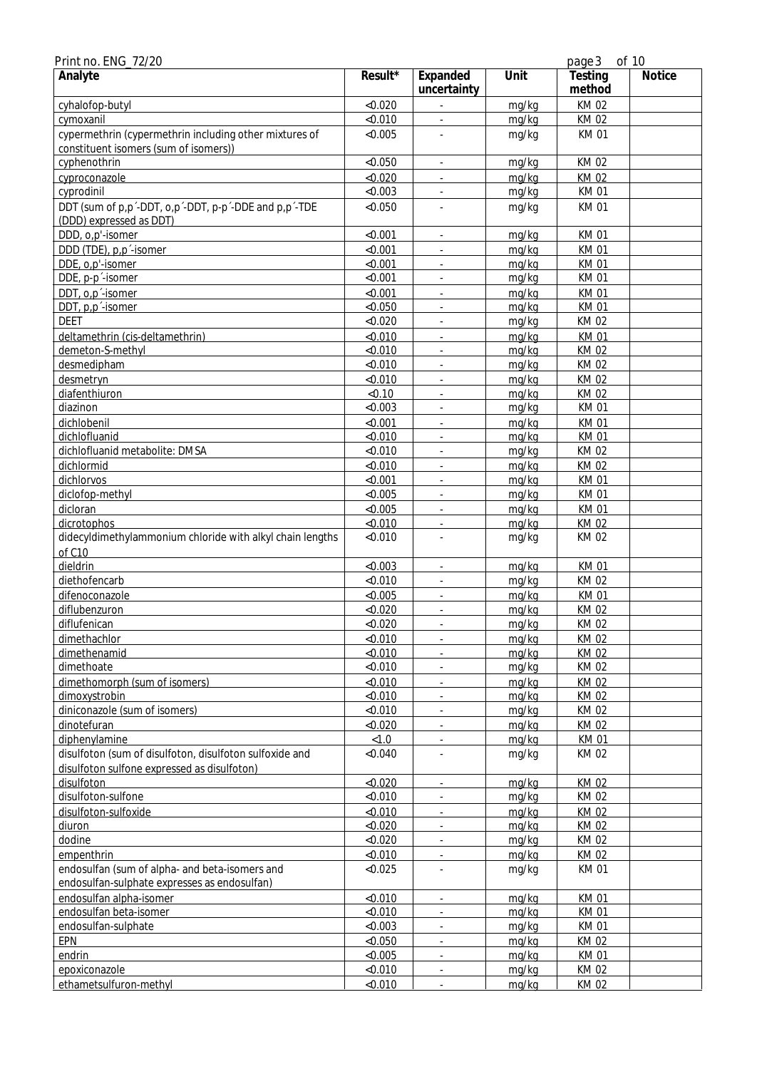| Print no. ENG_72/20                                                                             |                  |                             |       | page 3               | of 10  |
|-------------------------------------------------------------------------------------------------|------------------|-----------------------------|-------|----------------------|--------|
| Analyte                                                                                         | Result*          | Expanded<br>uncertainty     | Unit  | Testing<br>method    | Notice |
| cyhalofop-butyl                                                                                 | < 0.020          |                             | mg/kg | KM 02                |        |
| cymoxanil                                                                                       | < 0.010          |                             | mg/kg | <b>KM02</b>          |        |
| cypermethrin (cypermethrin including other mixtures of<br>constituent isomers (sum of isomers)) | < 0.005          |                             | mg/kg | <b>KM01</b>          |        |
| cyphenothrin                                                                                    | < 0.050          | $\mathcal{L}_{\mathcal{A}}$ | mg/kg | <b>KM02</b>          |        |
| cyproconazole                                                                                   | < 0.020          | ÷,                          | mg/kg | <b>KM02</b>          |        |
| cyprodinil                                                                                      | < 0.003          |                             | mg/kg | <b>KM01</b>          |        |
| DDT (sum of p,p'-DDT, o,p'-DDT, p-p'-DDE and p,p'-TDE<br>(DDD) expressed as DDT)                | < 0.050          |                             | mg/kg | <b>KM01</b>          |        |
| DDD, o,p'-isomer                                                                                | < 0.001          | $\omega$                    | mg/kg | <b>KM01</b>          |        |
| DDD (TDE), p,p <sup>-</sup> -isomer                                                             | < 0.001          | ÷,                          | mg/kg | <b>KM01</b>          |        |
| DDE, o,p'-isomer                                                                                | < 0.001          | ä,                          | mg/kg | <b>KM01</b>          |        |
| DDE, p-p'-isomer                                                                                | < 0.001          |                             | mg/kg | <b>KM01</b>          |        |
| DDT, o,p <sup>-</sup> -isomer                                                                   | < 0.001          |                             | mg/kg | <b>KM01</b>          |        |
| DDT, p,p <sup>-</sup> -isomer                                                                   | < 0.050          | ä,                          | mg/kg | <b>KM01</b>          |        |
| <b>DEET</b>                                                                                     | < 0.020          | ÷,                          | mg/kg | <b>KM02</b>          |        |
| deltamethrin (cis-deltamethrin)                                                                 | < 0.010          |                             | mg/kg | <b>KM01</b>          |        |
| demeton-S-methyl                                                                                | < 0.010          |                             | mg/kg | <b>KM02</b>          |        |
| desmedipham                                                                                     | < 0.010          | ä,                          | mg/kg | KM 02                |        |
| desmetryn                                                                                       | < 0.010          | $\overline{\phantom{a}}$    | mg/kg | <b>KM02</b>          |        |
| diafenthiuron                                                                                   | < 0.10           | ä,                          | mg/kg | KM 02                |        |
| diazinon                                                                                        | < 0.003          | ä,                          | mg/kg | <b>KM01</b>          |        |
| dichlobenil                                                                                     | < 0.001          |                             | mg/kg | <b>KM01</b>          |        |
| dichlofluanid                                                                                   | < 0.010          | ÷,                          | mg/kg | <b>KM01</b>          |        |
| dichlofluanid metabolite: DMSA                                                                  | < 0.010          |                             | mg/kg | <b>KM02</b>          |        |
| dichlormid                                                                                      | < 0.010          | ä,                          | mg/kg | <b>KM02</b>          |        |
| dichlorvos                                                                                      | < 0.001          |                             | mg/kg | <b>KM01</b>          |        |
| diclofop-methyl                                                                                 | < 0.005          | ä,                          | mg/kg | KM 01                |        |
| dicloran                                                                                        | < 0.005          | $\overline{\phantom{a}}$    | mg/kg | <b>KM01</b>          |        |
| dicrotophos                                                                                     | < 0.010          | ä,                          | mg/kg | KM 02                |        |
| didecyldimethylammonium chloride with alkyl chain lengths                                       | < 0.010          |                             | mg/kg | <b>KM02</b>          |        |
| of C10                                                                                          |                  |                             |       |                      |        |
| dieldrin                                                                                        | < 0.003          | ÷,                          | mg/kg | KM 01                |        |
| diethofencarb                                                                                   | < 0.010          | ÷,                          | mg/kg | KM 02                |        |
| difenoconazole                                                                                  | < 0.005          |                             | mg/kg | <b>KM01</b>          |        |
| diflubenzuron                                                                                   | < 0.020          | ä,                          | mg/kg | <b>KM02</b>          |        |
| diflufenican                                                                                    | < 0.020          |                             | mg/kg | KM 02                |        |
| dimethachlor                                                                                    | < 0.010          | ÷,                          | mg/kg | KM 02                |        |
| dimethenamid                                                                                    | < 0.010          | ÷,                          | mg/kg | <b>KM02</b>          |        |
| dimethoate                                                                                      | < 0.010          |                             | mg/kg | KM 02                |        |
| dimethomorph (sum of isomers)                                                                   | < 0.010          |                             | mg/kg | <b>KM02</b>          |        |
| dimoxystrobin<br>diniconazole (sum of isomers)                                                  | < 0.010          |                             | mg/kg | KM 02                |        |
|                                                                                                 | < 0.010          |                             | mg/kg | KM 02                |        |
| dinotefuran                                                                                     | < 0.020          | ÷.                          | mg/kg | <b>KM02</b>          |        |
| diphenylamine<br>disulfoton (sum of disulfoton, disulfoton sulfoxide and                        | < 1.0<br>< 0.040 |                             | mg/kg | <b>KM01</b><br>KM 02 |        |
| disulfoton sulfone expressed as disulfoton)                                                     |                  |                             | mg/kg |                      |        |
| disulfoton                                                                                      | < 0.020          | $\blacksquare$              | mg/kg | KM 02                |        |
| disulfoton-sulfone                                                                              | < 0.010          |                             | mg/kg | KM 02                |        |
| disulfoton-sulfoxide                                                                            | < 0.010          |                             | mg/kg | KM 02                |        |
| diuron                                                                                          | < 0.020          | ÷,                          | mg/kg | KM 02                |        |
| dodine                                                                                          | < 0.020          |                             | mg/kg | KM 02                |        |
| empenthrin                                                                                      | < 0.010          |                             | mg/kg | KM 02                |        |
| endosulfan (sum of alpha- and beta-isomers and                                                  | < 0.025          |                             | mg/kg | <b>KM01</b>          |        |
| endosulfan-sulphate expresses as endosulfan)                                                    |                  |                             |       |                      |        |
| endosulfan alpha-isomer                                                                         | < 0.010          | ÷,                          | mg/kg | <b>KM01</b>          |        |
| endosulfan beta-isomer                                                                          | < 0.010          | ÷,                          | mg/kg | KM 01                |        |
| endosulfan-sulphate                                                                             | < 0.003          |                             | mg/kg | <b>KM01</b>          |        |
| EPN                                                                                             | < 0.050          |                             | mg/kg | <b>KM02</b>          |        |
| endrin                                                                                          | < 0.005          | ÷,                          | mg/kg | <b>KM01</b>          |        |
| epoxiconazole                                                                                   | < 0.010          |                             | mg/kg | KM 02                |        |
| ethametsulfuron-methyl                                                                          | < 0.010          |                             | mg/kg | KM 02                |        |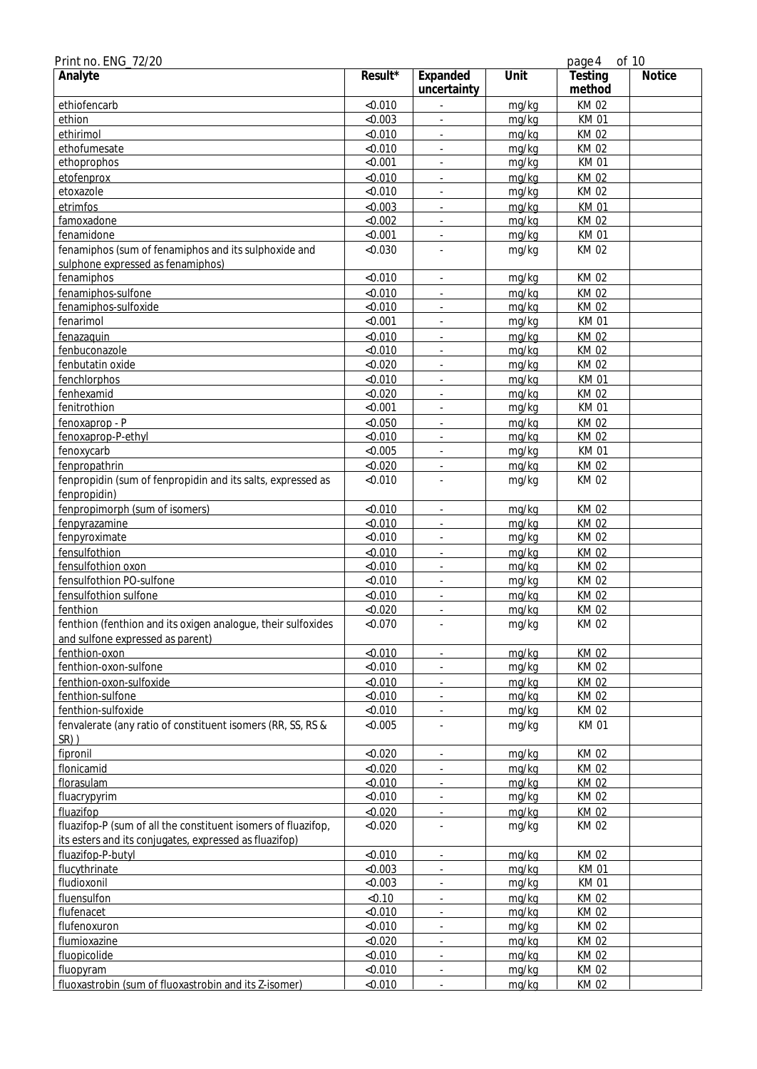| Print no. ENG_72/20                                                                                                     |         |                             |       | page 4            | of 10         |
|-------------------------------------------------------------------------------------------------------------------------|---------|-----------------------------|-------|-------------------|---------------|
| Analyte                                                                                                                 | Result* | Expanded<br>uncertainty     | Unit  | Testing<br>method | <b>Notice</b> |
| ethiofencarb                                                                                                            | < 0.010 |                             | mg/kg | <b>KM02</b>       |               |
| ethion                                                                                                                  | < 0.003 |                             | mg/kg | <b>KM01</b>       |               |
| ethirimol                                                                                                               | < 0.010 | $\omega$                    | mg/kg | <b>KM02</b>       |               |
| ethofumesate                                                                                                            | < 0.010 | $\omega$                    | mg/kg | KM 02             |               |
| ethoprophos                                                                                                             | < 0.001 |                             | mg/kg | <b>KM01</b>       |               |
| etofenprox                                                                                                              | < 0.010 |                             | mg/kg | <b>KM02</b>       |               |
| etoxazole                                                                                                               | < 0.010 |                             | mg/kg | <b>KM02</b>       |               |
| etrimfos                                                                                                                | &0.003  | $\mathbf{r}$                | mg/kg | <b>KM01</b>       |               |
| famoxadone                                                                                                              | < 0.002 | $\blacksquare$              | mg/kg | <b>KM02</b>       |               |
| fenamidone                                                                                                              | < 0.001 | $\overline{\phantom{a}}$    | mg/kg | KM 01             |               |
| fenamiphos (sum of fenamiphos and its sulphoxide and<br>sulphone expressed as fenamiphos)                               | < 0.030 |                             | mg/kg | <b>KM02</b>       |               |
| fenamiphos                                                                                                              | < 0.010 | $\omega$                    | mg/kg | KM 02             |               |
|                                                                                                                         | < 0.010 |                             |       | <b>KM02</b>       |               |
| fenamiphos-sulfone<br>fenamiphos-sulfoxide                                                                              | < 0.010 |                             | mg/kg | <b>KM02</b>       |               |
|                                                                                                                         |         |                             | mg/kg |                   |               |
| fenarimol                                                                                                               | < 0.001 |                             | mg/kg | <b>KM01</b>       |               |
| fenazaquin                                                                                                              | < 0.010 | $\mathbf{r}$                | mg/kg | <b>KM02</b>       |               |
| fenbuconazole                                                                                                           | < 0.010 | $\blacksquare$              | mg/kg | <b>KM02</b>       |               |
| fenbutatin oxide                                                                                                        | < 0.020 | $\blacksquare$              | mg/kg | KM 02             |               |
| fenchlorphos                                                                                                            | < 0.010 | $\overline{\phantom{a}}$    | mg/kg | <b>KM01</b>       |               |
| fenhexamid                                                                                                              | < 0.020 | ÷.                          | mg/kg | <b>KM02</b>       |               |
| fenitrothion                                                                                                            | < 0.001 | $\omega$                    | mg/kg | <b>KM01</b>       |               |
| fenoxaprop - P                                                                                                          | < 0.050 | $\mathcal{L}_{\mathcal{A}}$ | mg/kg | <b>KM02</b>       |               |
| fenoxaprop-P-ethyl                                                                                                      | < 0.010 |                             | mg/kg | <b>KM02</b>       |               |
| fenoxycarb                                                                                                              | < 0.005 |                             | mg/kg | <b>KM01</b>       |               |
| fenpropathrin                                                                                                           | < 0.020 | ÷.                          | mg/kg | <b>KM02</b>       |               |
| fenpropidin (sum of fenpropidin and its salts, expressed as<br>fenpropidin)                                             | < 0.010 |                             | mg/kg | KM 02             |               |
| fenpropimorph (sum of isomers)                                                                                          | < 0.010 | $\blacksquare$              | mg/kg | <b>KM02</b>       |               |
| fenpyrazamine                                                                                                           | < 0.010 | ÷.                          | mg/kg | <b>KM02</b>       |               |
| fenpyroximate                                                                                                           | < 0.010 | $\omega$                    | mg/kg | KM 02             |               |
| fensulfothion                                                                                                           | < 0.010 | $\mathcal{L}_{\mathcal{A}}$ | mg/kg | <b>KM02</b>       |               |
| fensulfothion oxon                                                                                                      | < 0.010 |                             | mg/kg | <b>KM02</b>       |               |
| fensulfothion PO-sulfone                                                                                                | < 0.010 |                             | mg/kg | <b>KM02</b>       |               |
| fensulfothion sulfone                                                                                                   | < 0.010 | $\omega$                    | mg/kg | <b>KM02</b>       |               |
| fenthion                                                                                                                | < 0.020 | $\blacksquare$              | mg/kg | <b>KM02</b>       |               |
| fenthion (fenthion and its oxigen analogue, their sulfoxides                                                            | < 0.070 |                             | mg/kg | <b>KM02</b>       |               |
| and sulfone expressed as parent)                                                                                        |         |                             |       |                   |               |
| fenthion-oxon                                                                                                           | < 0.010 |                             | mg/kg | KM 02             |               |
| fenthion-oxon-sulfone                                                                                                   | < 0.010 |                             | mg/kg | KM 02             |               |
| fenthion-oxon-sulfoxide                                                                                                 | < 0.010 | $\omega$                    | mg/kg | KM 02             |               |
| fenthion-sulfone                                                                                                        | < 0.010 |                             | mg/kg | <b>KM02</b>       |               |
| fenthion-sulfoxide                                                                                                      | < 0.010 |                             | mg/kg | <b>KM02</b>       |               |
| fenvalerate (any ratio of constituent isomers (RR, SS, RS &<br>SR))                                                     | < 0.005 |                             | mg/kg | KM 01             |               |
| fipronil                                                                                                                | < 0.020 | $\blacksquare$              | mg/kg | KM 02             |               |
| flonicamid                                                                                                              | < 0.020 | $\blacksquare$              | mg/kg | <b>KM02</b>       |               |
| florasulam                                                                                                              | < 0.010 | $\omega$                    | mg/kg | <b>KM02</b>       |               |
| fluacrypyrim                                                                                                            | < 0.010 | $\omega$                    | mg/kg | KM 02             |               |
| fluazifop                                                                                                               | < 0.020 |                             |       | <b>KM02</b>       |               |
|                                                                                                                         |         | $\mathcal{L}_{\mathcal{A}}$ | mg/kg |                   |               |
| fluazifop-P (sum of all the constituent isomers of fluazifop,<br>its esters and its conjugates, expressed as fluazifop) | < 0.020 |                             | mg/kg | KM 02             |               |
| fluazifop-P-butyl                                                                                                       | < 0.010 | $\mathbf{r}$                | mg/kg | <b>KM02</b>       |               |
| flucythrinate                                                                                                           | < 0.003 | $\blacksquare$              | mg/kg | KM 01             |               |
| fludioxonil                                                                                                             | < 0.003 | $\blacksquare$              | mg/kg | KM 01             |               |
| fluensulfon                                                                                                             | < 0.10  | $\blacksquare$              | mg/kg | KM 02             |               |
| flufenacet                                                                                                              | < 0.010 | $\omega$                    | mg/kg | <b>KM02</b>       |               |
| flufenoxuron                                                                                                            | < 0.010 | $\omega$                    | mg/kg | KM 02             |               |
| flumioxazine                                                                                                            | < 0.020 | $\blacksquare$              | mg/kg | <b>KM02</b>       |               |
| fluopicolide                                                                                                            | < 0.010 |                             | mg/kg | KM 02             |               |
| fluopyram                                                                                                               | < 0.010 |                             | mg/kg | <b>KM02</b>       |               |
| fluoxastrobin (sum of fluoxastrobin and its Z-isomer)                                                                   | < 0.010 | $\omega$                    | mg/kg | KM 02             |               |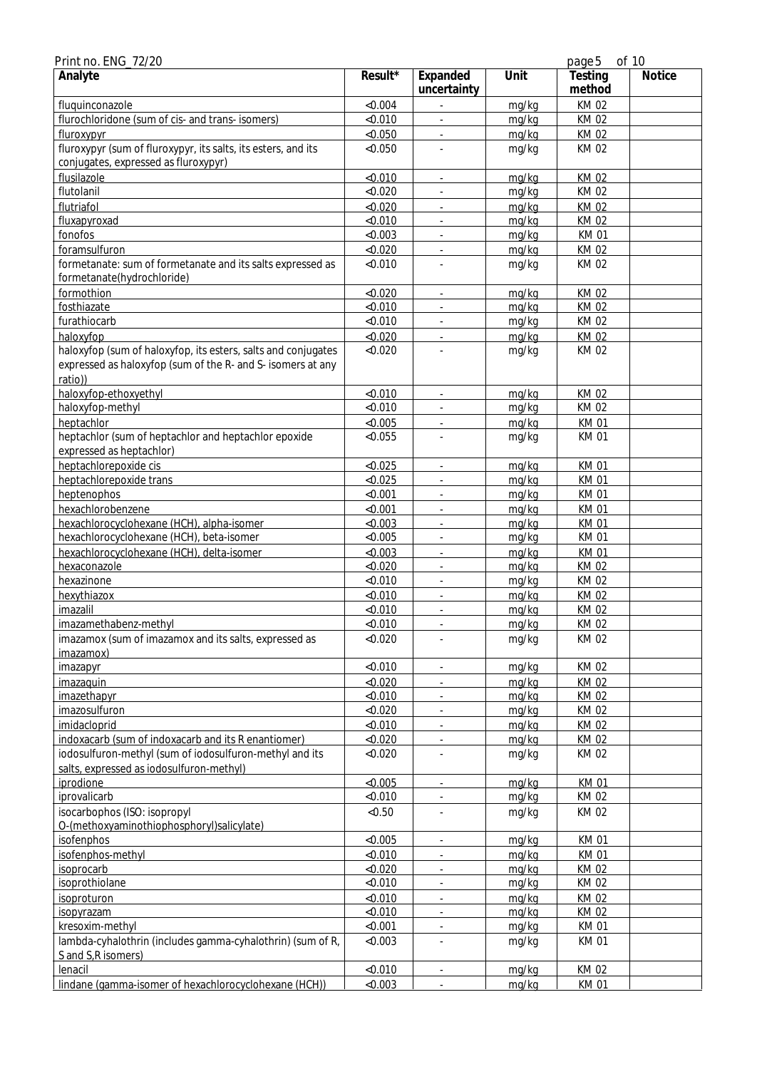| Print no. ENG_72/20                                                                                   |                    |                          |                | page 5               | of 10         |
|-------------------------------------------------------------------------------------------------------|--------------------|--------------------------|----------------|----------------------|---------------|
| Analyte                                                                                               | $Result*$          | Expanded<br>uncertainty  | Unit           | Testing<br>method    | <b>Notice</b> |
| fluquinconazole                                                                                       | < 0.004            |                          | mg/kg          | <b>KM02</b>          |               |
| flurochloridone (sum of cis- and trans- isomers)                                                      | < 0.010            |                          | mg/kg          | <b>KM02</b>          |               |
| fluroxypyr                                                                                            | < 0.050            |                          | mg/kg          | KM 02                |               |
| fluroxypyr (sum of fluroxypyr, its salts, its esters, and its<br>conjugates, expressed as fluroxypyr) | < 0.050            |                          | mg/kg          | KM 02                |               |
| flusilazole                                                                                           | < 0.010            | ÷,                       | mg/kg          | KM 02                |               |
| flutolanil                                                                                            | < 0.020            |                          | mg/kg          | <b>KM02</b>          |               |
| flutriafol                                                                                            | < 0.020            |                          | mg/kg          | <b>KM02</b>          |               |
| fluxapyroxad                                                                                          | < 0.010            |                          | mg/kg          | <b>KM02</b>          |               |
| fonofos                                                                                               | < 0.003            | ÷,                       | mg/kg          | KM 01                |               |
| foramsulfuron                                                                                         | < 0.020            | $\overline{\phantom{a}}$ | mg/kg          | <b>KM02</b>          |               |
| formetanate: sum of formetanate and its salts expressed as                                            | < 0.010            |                          | mg/kg          | KM 02                |               |
| formetanate(hydrochloride)                                                                            |                    |                          |                |                      |               |
| formothion                                                                                            | < 0.020            | ä,                       | mg/kg          | <b>KM02</b>          |               |
| fosthiazate                                                                                           | < 0.010            |                          | mg/kg          | <b>KM02</b>          |               |
| furathiocarb                                                                                          | < 0.010            |                          | mg/kg          | <b>KM02</b>          |               |
| haloxyfop                                                                                             | < 0.020            |                          | mg/kg          | KM 02                |               |
| haloxyfop (sum of haloxyfop, its esters, salts and conjugates                                         | < 0.020            |                          | mg/kg          | <b>KM02</b>          |               |
| expressed as haloxyfop (sum of the R- and S- isomers at any                                           |                    |                          |                |                      |               |
| ratio))                                                                                               |                    |                          |                |                      |               |
| haloxyfop-ethoxyethyl<br>haloxyfop-methyl                                                             | < 0.010            | ÷,<br>ä,                 | mg/kg<br>mg/kg | KM 02                |               |
|                                                                                                       | < 0.010<br>< 0.005 |                          |                | KM 02<br><b>KM01</b> |               |
| heptachlor<br>heptachlor (sum of heptachlor and heptachlor epoxide                                    | < 0.055            | ä,                       | mg/kg<br>mg/kg | <b>KM01</b>          |               |
| expressed as heptachlor)                                                                              |                    |                          |                |                      |               |
| heptachlorepoxide cis                                                                                 | < 0.025            |                          | mg/kg          | <b>KM01</b>          |               |
| heptachlorepoxide trans                                                                               | < 0.025            |                          | mg/kg          | <b>KM01</b>          |               |
| heptenophos                                                                                           | < 0.001            | $\overline{\phantom{a}}$ | mg/kg          | <b>KM01</b>          |               |
| hexachlorobenzene                                                                                     | < 0.001            | $\overline{\phantom{a}}$ | mg/kg          | <b>KM01</b>          |               |
| hexachlorocyclohexane (HCH), alpha-isomer                                                             | < 0.003            |                          | mg/kg          | <b>KM01</b>          |               |
| hexachlorocyclohexane (HCH), beta-isomer                                                              | < 0.005            |                          | mg/kg          | <b>KM01</b>          |               |
| hexachlorocyclohexane (HCH), delta-isomer                                                             | < 0.003            |                          | mg/kg          | <b>KM01</b>          |               |
| hexaconazole                                                                                          | < 0.020            | ä,                       | mg/kg          | <b>KM02</b>          |               |
| hexazinone                                                                                            | < 0.010            |                          | mg/kg          | <b>KM02</b>          |               |
| hexythiazox                                                                                           | < 0.010            |                          | mg/kg          | <b>KM02</b>          |               |
| imazalil                                                                                              | < 0.010            | ä,                       | mg/kg          | <b>KM02</b>          |               |
| imazamethabenz-methyl                                                                                 | < 0.010            |                          | mg/kg          | KM 02                |               |
| imazamox (sum of imazamox and its salts, expressed as<br>imazamox)                                    | < 0.020            | $\blacksquare$           | mg/kg          | KM 02                |               |
| imazapyr                                                                                              | < 0.010            | ä,                       | mg/kg          | KM 02                |               |
| imazaquin                                                                                             | < 0.020            |                          | mg/kg          | <b>KM02</b>          |               |
| <i>imazethapyr</i>                                                                                    | < 0.010            | ٠                        | mg/kg          | KM 02                |               |
| imazosulfuron                                                                                         | < 0.020            |                          | mg/kg          | KM 02                |               |
| imidacloprid                                                                                          | < 0.010            |                          | mg/kg          | <b>KM02</b>          |               |
| indoxacarb (sum of indoxacarb and its R enantiomer)                                                   | < 0.020            | ÷.                       | mg/kg          | KM 02                |               |
| iodosulfuron-methyl (sum of iodosulfuron-methyl and its                                               | < 0.020            | ä,                       | mg/kg          | KM 02                |               |
| salts, expressed as iodosulfuron-methyl)                                                              |                    |                          |                |                      |               |
| iprodione                                                                                             | < 0.005            | $\frac{1}{2}$            | mg/kg          | <b>KM01</b>          |               |
| iprovalicarb                                                                                          | < 0.010            |                          | mg/kg          | KM 02                |               |
| isocarbophos (ISO: isopropyl                                                                          | < 0.50             |                          | mg/kg          | <b>KM02</b>          |               |
| O-(methoxyaminothiophosphoryl)salicylate)                                                             | < 0.005            |                          |                |                      |               |
| isofenphos                                                                                            |                    |                          | mg/kg          | <b>KM01</b>          |               |
| isofenphos-methyl<br>isoprocarb                                                                       | < 0.010<br>< 0.020 | ÷.                       | mg/kg<br>mg/kg | KM 01<br>KM 02       |               |
| isoprothiolane                                                                                        | < 0.010            | $\overline{\phantom{a}}$ | mg/kg          | KM 02                |               |
| isoproturon                                                                                           | < 0.010            |                          | mg/kg          | <b>KM02</b>          |               |
| <i>isopyrazam</i>                                                                                     | < 0.010            | $\overline{\phantom{a}}$ | mg/kg          | KM 02                |               |
| kresoxim-methyl                                                                                       | < 0.001            |                          | mg/kg          | <b>KM01</b>          |               |
| lambda-cyhalothrin (includes gamma-cyhalothrin) (sum of R,                                            | < 0.003            |                          | mg/kg          | <b>KM01</b>          |               |
| S and S, R isomers)                                                                                   |                    |                          |                |                      |               |
| lenacil                                                                                               | < 0.010            |                          | mg/kg          | KM 02                |               |
| lindane (gamma-isomer of hexachlorocyclohexane (HCH))                                                 | < 0.003            |                          | mg/kg          | KM 01                |               |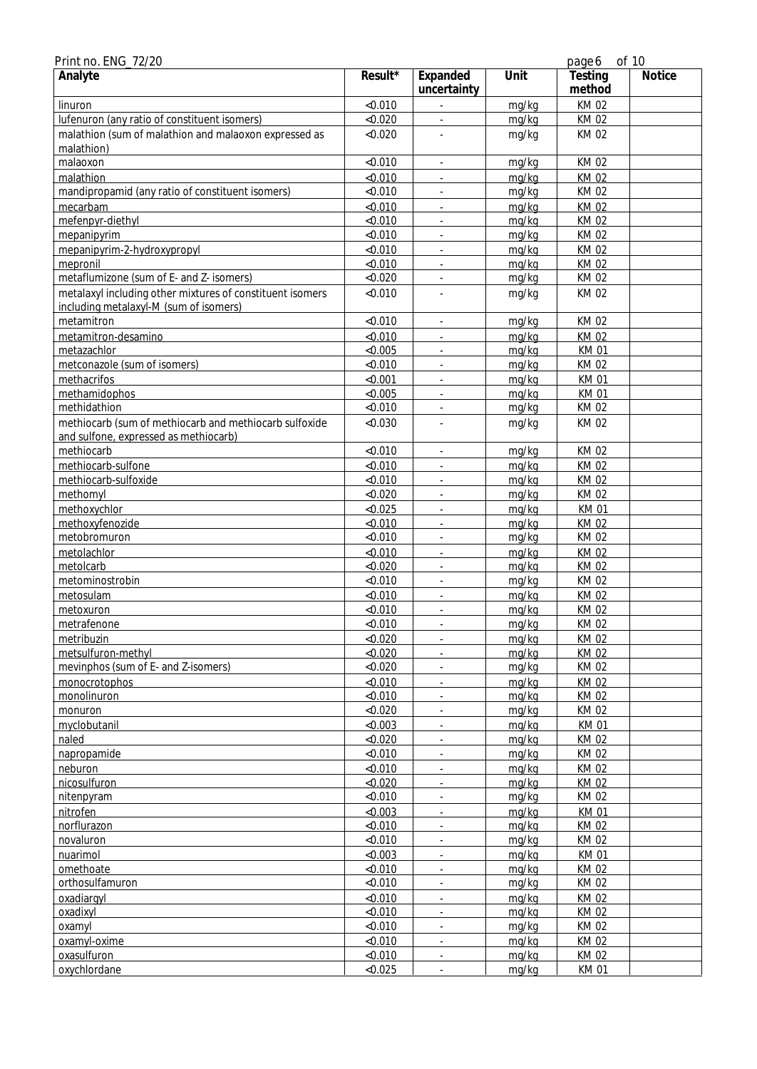| Print no. ENG_72/20                                                                                 |           |                          |       | page 6            | of 10         |
|-----------------------------------------------------------------------------------------------------|-----------|--------------------------|-------|-------------------|---------------|
| Analyte                                                                                             | $Result*$ | Expanded<br>uncertainty  | Unit  | Testing<br>method | <b>Notice</b> |
| linuron                                                                                             | < 0.010   |                          | mg/kg | KM 02             |               |
| lufenuron (any ratio of constituent isomers)                                                        | < 0.020   |                          | mg/kg | <b>KM02</b>       |               |
| malathion (sum of malathion and malaoxon expressed as<br>malathion)                                 | < 0.020   |                          | mg/kg | <b>KM02</b>       |               |
| malaoxon                                                                                            | < 0.010   | ÷,                       | mg/kg | <b>KM02</b>       |               |
| malathion                                                                                           | < 0.010   | ä,                       | mg/kg | <b>KM02</b>       |               |
| mandipropamid (any ratio of constituent isomers)                                                    | < 0.010   |                          | mg/kg | <b>KM02</b>       |               |
| mecarbam                                                                                            | < 0.010   |                          | mg/kg | KM 02             |               |
| mefenpyr-diethyl                                                                                    | < 0.010   |                          | mg/kg | <b>KM02</b>       |               |
| mepanipyrim                                                                                         | < 0.010   | ä,                       | mg/kg | KM 02             |               |
| mepanipyrim-2-hydroxypropyl                                                                         | < 0.010   | $\overline{\phantom{a}}$ | mg/kg | <b>KM02</b>       |               |
| mepronil                                                                                            | < 0.010   |                          | mg/kg | KM 02             |               |
| metaflumizone (sum of E- and Z- isomers)                                                            | < 0.020   |                          | mg/kg | <b>KM02</b>       |               |
| metalaxyl including other mixtures of constituent isomers<br>including metalaxyl-M (sum of isomers) | < 0.010   |                          | mg/kg | <b>KM02</b>       |               |
| metamitron                                                                                          | < 0.010   |                          | mg/kg | <b>KM02</b>       |               |
| metamitron-desamino                                                                                 | < 0.010   |                          | mg/kg | <b>KM02</b>       |               |
| metazachlor                                                                                         | < 0.005   | ä,                       | mg/kg | <b>KM01</b>       |               |
| metconazole (sum of isomers)                                                                        | < 0.010   | $\overline{\phantom{a}}$ | mg/kg | KM 02             |               |
| methacrifos                                                                                         | < 0.001   | $\overline{\phantom{a}}$ | mg/kg | <b>KM01</b>       |               |
| methamidophos                                                                                       | < 0.005   |                          | mg/kg | <b>KM01</b>       |               |
| methidathion                                                                                        | < 0.010   | ä,                       | mg/kg | KM 02             |               |
| methiocarb (sum of methiocarb and methiocarb sulfoxide                                              | < 0.030   |                          | mg/kg | KM 02             |               |
| and sulfone, expressed as methiocarb)                                                               |           |                          |       |                   |               |
| methiocarb                                                                                          | < 0.010   |                          | mg/kg | <b>KM02</b>       |               |
| methiocarb-sulfone                                                                                  | < 0.010   |                          | mg/kg | <b>KM02</b>       |               |
| methiocarb-sulfoxide                                                                                | < 0.010   |                          | mg/kg | <b>KM02</b>       |               |
| methomyl                                                                                            | < 0.020   | ÷,                       | mg/kg | KM 02             |               |
| methoxychlor                                                                                        | < 0.025   | $\overline{\phantom{a}}$ | mg/kg | <b>KM01</b>       |               |
| methoxyfenozide                                                                                     | < 0.010   |                          | mg/kg | <b>KM02</b>       |               |
| metobromuron                                                                                        | < 0.010   |                          | mg/kg | KM 02             |               |
| metolachlor                                                                                         | < 0.010   |                          | mg/kg | <b>KM02</b>       |               |
| metolcarb                                                                                           | < 0.020   | ÷.                       | mg/kg | <b>KM02</b>       |               |
| metominostrobin                                                                                     | < 0.010   |                          | mg/kg | <b>KM02</b>       |               |
| metosulam                                                                                           | < 0.010   |                          | mg/kg | <b>KM02</b>       |               |
| metoxuron                                                                                           | < 0.010   | ä,                       | mg/kg | <b>KM02</b>       |               |
| metrafenone                                                                                         | < 0.010   |                          | mg/kg | <b>KM02</b>       |               |
| metribuzin                                                                                          | < 0.020   | $\overline{\phantom{a}}$ | mg/kg | KM 02             |               |
| metsulfuron-methyl                                                                                  | < 0.020   |                          | mg/kg | <b>KM02</b>       |               |
| mevinphos (sum of E- and Z-isomers)                                                                 | < 0.020   | ä,                       | mg/kg | KM 02             |               |
| monocrotophos                                                                                       | < 0.010   | ä,                       | mg/kg | <b>KM02</b>       |               |
| monolinuron                                                                                         | < 0.010   | $\overline{\phantom{a}}$ | mg/kg | KM 02             |               |
| monuron                                                                                             | < 0.020   |                          | mg/kg | KM 02             |               |
| myclobutanil                                                                                        | < 0.003   |                          | mg/kg | <b>KM01</b>       |               |
| naled                                                                                               | < 0.020   | ÷.                       | mg/kg | KM 02             |               |
| napropamide                                                                                         | < 0.010   | $\blacksquare$           | mg/kg | KM 02             |               |
| neburon                                                                                             | < 0.010   | $\blacksquare$           | mg/kg | <b>KM02</b>       |               |
| nicosulfuron                                                                                        | < 0.020   |                          | mg/kg | <b>KM02</b>       |               |
| nitenpyram                                                                                          | < 0.010   |                          | mg/kg | KM 02             |               |
| nitrofen                                                                                            | < 0.003   |                          | mg/kg | <b>KM01</b>       |               |
| norflurazon                                                                                         | < 0.010   | $\overline{\phantom{a}}$ | mg/kg | <b>KM02</b>       |               |
| novaluron                                                                                           | < 0.010   |                          | mg/kg | KM 02             |               |
| nuarimol                                                                                            | < 0.003   |                          | mg/kg | KM 01             |               |
| omethoate                                                                                           | < 0.010   | ÷.                       | mg/kg | KM 02             |               |
| orthosulfamuron                                                                                     | < 0.010   | $\blacksquare$           | mg/kg | KM 02             |               |
| oxadiargyl                                                                                          | < 0.010   | $\overline{\phantom{a}}$ | mg/kg | <b>KM02</b>       |               |
| oxadixyl                                                                                            | < 0.010   |                          | mg/kg | <b>KM02</b>       |               |
| oxamyl                                                                                              | < 0.010   | ä,                       | mg/kg | KM 02             |               |
| oxamyl-oxime                                                                                        | < 0.010   | ÷.                       | mg/kg | <b>KM02</b>       |               |
| oxasulfuron                                                                                         | < 0.010   | $\overline{\phantom{a}}$ | mg/kg | KM 02             |               |
| oxychlordane                                                                                        | < 0.025   |                          | mg/kg | <b>KM01</b>       |               |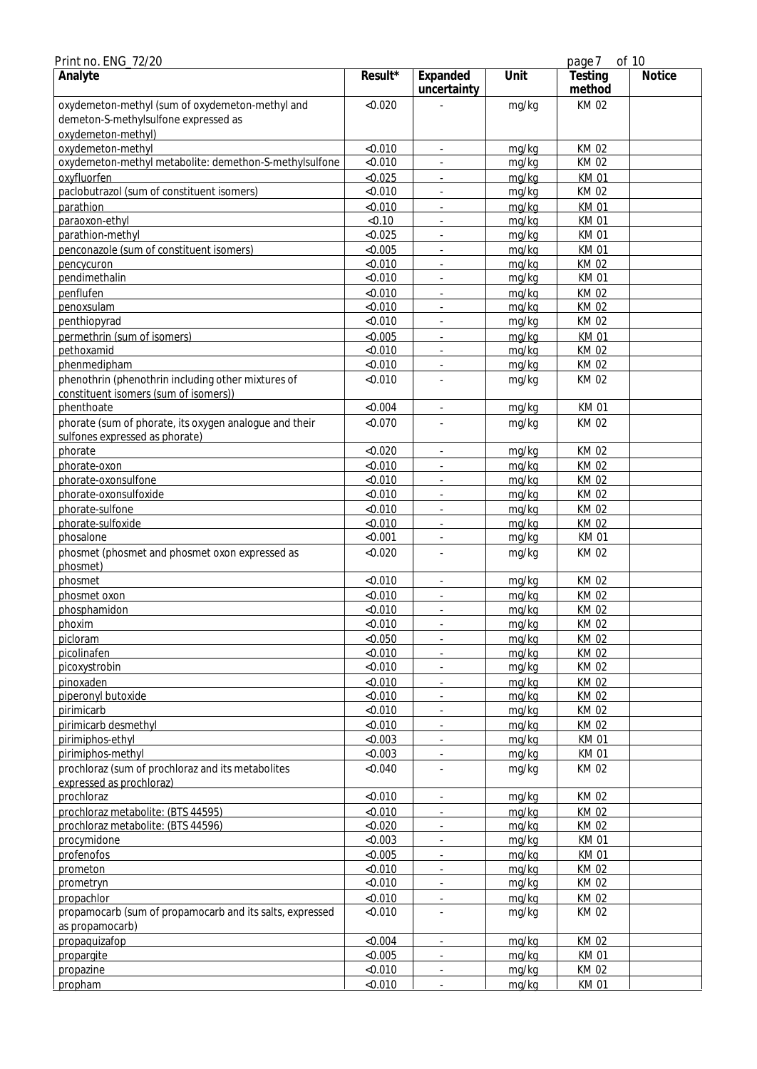| Print no. ENG_72/20                                      |           |                          |       | page 7            | of 10         |
|----------------------------------------------------------|-----------|--------------------------|-------|-------------------|---------------|
| Analyte                                                  | $Result*$ | Expanded<br>uncertainty  | Unit  | Testing<br>method | <b>Notice</b> |
| oxydemeton-methyl (sum of oxydemeton-methyl and          | < 0.020   |                          | mg/kg | <b>KM02</b>       |               |
| demeton-S-methylsulfone expressed as                     |           |                          |       |                   |               |
| oxydemeton-methyl)                                       |           |                          |       |                   |               |
| oxydemeton-methyl                                        | < 0.010   | $\overline{\phantom{a}}$ | mg/kg | KM 02             |               |
| oxydemeton-methyl metabolite: demethon-S-methylsulfone   | < 0.010   |                          | mg/kg | KM 02             |               |
| oxyfluorfen                                              | < 0.025   |                          | mg/kg | <b>KM01</b>       |               |
| paclobutrazol (sum of constituent isomers)               | < 0.010   |                          | mg/kg | KM 02             |               |
| parathion                                                | < 0.010   | ÷.                       | mg/kg | <b>KM01</b>       |               |
| paraoxon-ethyl                                           | < 0.10    | ÷,                       | mg/kg | <b>KM01</b>       |               |
| parathion-methyl                                         | < 0.025   | ÷,                       | mg/kg | <b>KM01</b>       |               |
| penconazole (sum of constituent isomers)                 | < 0.005   | ÷,                       | mg/kg | <b>KM01</b>       |               |
| pencycuron                                               | < 0.010   |                          | mg/kg | KM 02             |               |
| pendimethalin                                            | < 0.010   | ä,                       | mg/kg | <b>KM01</b>       |               |
| penflufen                                                | < 0.010   | ä,                       | mg/kg | KM 02             |               |
| penoxsulam                                               | < 0.010   |                          | mg/kg | <b>KM02</b>       |               |
| penthiopyrad                                             | < 0.010   |                          | mg/kg | KM 02             |               |
| permethrin (sum of isomers)                              | < 0.005   | $\omega$                 | mg/kg | <b>KM01</b>       |               |
| pethoxamid                                               | < 0.010   | $\blacksquare$           | mg/kg | <b>KM02</b>       |               |
| phenmedipham                                             | < 0.010   | $\overline{\phantom{a}}$ | mg/kg | KM 02             |               |
| phenothrin (phenothrin including other mixtures of       | < 0.010   |                          | mg/kg | KM 02             |               |
| constituent isomers (sum of isomers))                    |           |                          |       |                   |               |
| phenthoate                                               | < 0.004   | ÷,                       | mg/kg | <b>KM01</b>       |               |
| phorate (sum of phorate, its oxygen analogue and their   | < 0.070   |                          | mg/kg | KM 02             |               |
| sulfones expressed as phorate)                           |           |                          |       |                   |               |
| phorate                                                  | < 0.020   |                          | mg/kg | KM 02             |               |
| phorate-oxon                                             | < 0.010   | ÷.                       | mg/kg | <b>KM02</b>       |               |
| phorate-oxonsulfone                                      | < 0.010   | ÷,                       | mg/kg | <b>KM02</b>       |               |
| phorate-oxonsulfoxide                                    | < 0.010   | ÷,                       | mg/kg | KM 02             |               |
| phorate-sulfone                                          | < 0.010   | ÷,                       | mg/kg | KM 02             |               |
| phorate-sulfoxide                                        | < 0.010   | ÷.                       | mg/kg | KM 02             |               |
| phosalone                                                | < 0.001   |                          | mg/kg | <b>KM01</b>       |               |
| phosmet (phosmet and phosmet oxon expressed as           | < 0.020   |                          | mg/kg | KM 02             |               |
| phosmet)                                                 |           |                          |       |                   |               |
| phosmet                                                  | < 0.010   |                          | mg/kg | <b>KM02</b>       |               |
| phosmet oxon                                             | < 0.010   | ÷.                       | mg/kg | <b>KM02</b>       |               |
| phosphamidon                                             | < 0.010   | $\blacksquare$           | mg/kg | <b>KM02</b>       |               |
| phoxim                                                   | < 0.010   | ٠                        | mg/kg | KM 02             |               |
| picloram                                                 | < 0.050   | $\blacksquare$           | mg/kg | KM 02             |               |
| picolinafen                                              | < 0.010   |                          | mg/kg | KM 02             |               |
| picoxystrobin                                            | < 0.010   | $\overline{\phantom{a}}$ | mg/kg | KM 02             |               |
| pinoxaden                                                | < 0.010   | ÷,                       | mg/kg | KM 02             |               |
| piperonyl butoxide                                       | < 0.010   |                          | mg/kg | KM 02             |               |
| pirimicarb                                               | < 0.010   |                          | mg/kg | KM 02             |               |
| pirimicarb desmethyl                                     | < 0.010   | $\mathbb{R}^+$           | mg/kg | KM 02             |               |
| pirimiphos-ethyl                                         | < 0.003   | $\blacksquare$           | mg/kg | <b>KM01</b>       |               |
| pirimiphos-methyl                                        | < 0.003   | $\blacksquare$           | mg/kg | <b>KM01</b>       |               |
| prochloraz (sum of prochloraz and its metabolites        | < 0.040   | ä,                       | mg/kg | KM 02             |               |
| expressed as prochloraz)                                 |           |                          |       |                   |               |
| prochloraz                                               | < 0.010   | ÷,                       | mg/kg | KM 02             |               |
| prochloraz metabolite: (BTS 44595)                       | < 0.010   | ä,                       | mg/kg | KM 02             |               |
| prochloraz metabolite: (BTS 44596)                       | < 0.020   |                          | mg/kg | KM 02             |               |
| procymidone                                              | < 0.003   |                          | mg/kg | <b>KM01</b>       |               |
| profenofos                                               | < 0.005   | $\blacksquare$           | mg/kg | <b>KM01</b>       |               |
| prometon                                                 | < 0.010   | $\blacksquare$           | mg/kg | KM 02             |               |
| prometryn                                                | < 0.010   | $\blacksquare$           | mg/kg | KM 02             |               |
| propachlor                                               | < 0.010   | $\overline{\phantom{a}}$ | mg/kg | KM 02             |               |
| propamocarb (sum of propamocarb and its salts, expressed | < 0.010   |                          | mg/kg | KM 02             |               |
| as propamocarb)                                          |           |                          |       |                   |               |
| propaquizafop                                            | < 0.004   | $\overline{\phantom{a}}$ | mg/kg | KM 02             |               |
| propargite                                               | < 0.005   |                          | mg/kg | <b>KM01</b>       |               |
| propazine                                                | < 0.010   | $\Box$                   | mg/kg | KM 02             |               |
| propham                                                  | < 0.010   | $\mathbb{R}^+$           | mg/kg | <b>KM01</b>       |               |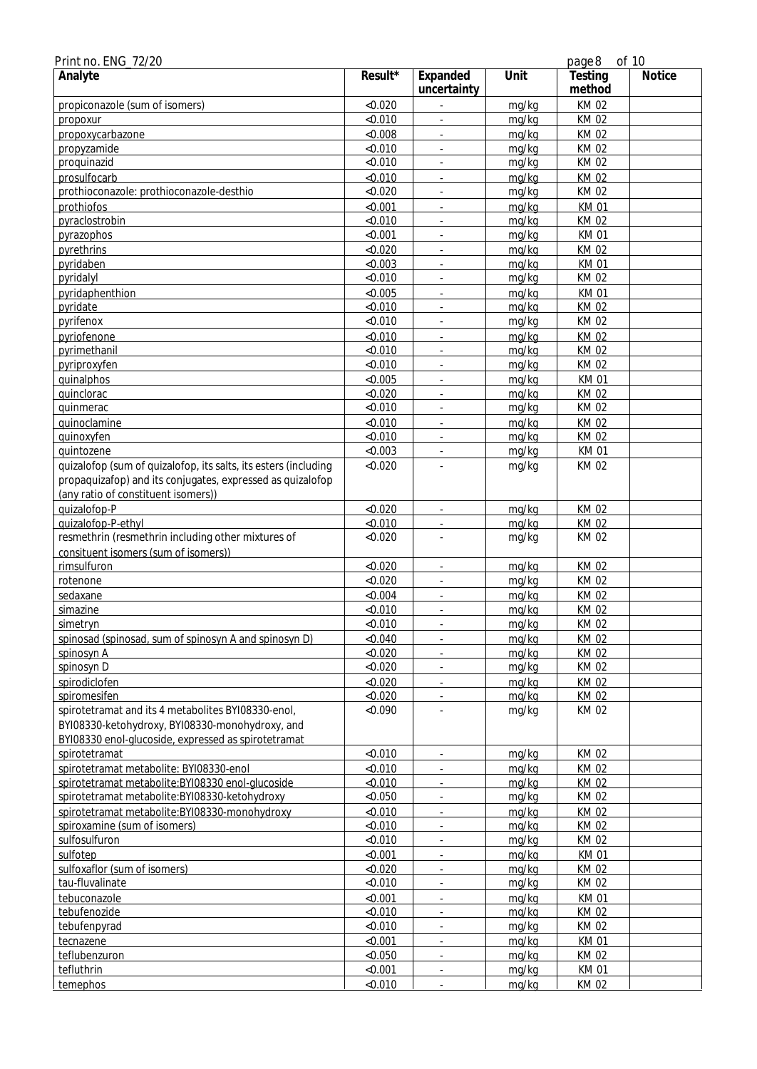| Print no. ENG_72/20                                             |            |                          |       | page 8            | of 10         |
|-----------------------------------------------------------------|------------|--------------------------|-------|-------------------|---------------|
| Analyte                                                         | $Result^*$ | Expanded<br>uncertainty  | Unit  | Testing<br>method | <b>Notice</b> |
| propiconazole (sum of isomers)                                  | < 0.020    |                          | mg/kg | <b>KM02</b>       |               |
| propoxur                                                        | < 0.010    |                          | mg/kg | <b>KM02</b>       |               |
| propoxycarbazone                                                | < 0.008    | ÷.                       | mg/kg | <b>KM02</b>       |               |
| propyzamide                                                     | < 0.010    | ä,                       | mg/kg | <b>KM02</b>       |               |
| proquinazid                                                     | < 0.010    |                          | mg/kg | <b>KM02</b>       |               |
| prosulfocarb                                                    | < 0.010    |                          | mg/kg | <b>KM02</b>       |               |
| prothioconazole: prothioconazole-desthio                        | < 0.020    |                          | mg/kg | <b>KM02</b>       |               |
| prothiofos                                                      | < 0.001    | ÷.                       | mg/kg | <b>KM01</b>       |               |
| pyraclostrobin                                                  | < 0.010    | ÷,                       | mg/kg | <b>KM02</b>       |               |
| pyrazophos                                                      | < 0.001    | ÷,                       | mg/kg | <b>KM01</b>       |               |
| pyrethrins                                                      | < 0.020    | $\overline{\phantom{a}}$ | mg/kg | <b>KM02</b>       |               |
| pyridaben                                                       | < 0.003    | ÷.                       | mg/kg | <b>KM01</b>       |               |
| pyridalyl                                                       | < 0.010    |                          | mg/kg | KM 02             |               |
| pyridaphenthion                                                 | < 0.005    |                          | mg/kg | <b>KM01</b>       |               |
| pyridate                                                        | < 0.010    |                          | mg/kg | <b>KM02</b>       |               |
| pyrifenox                                                       | < 0.010    |                          | mg/kg | <b>KM02</b>       |               |
| pyriofenone                                                     | < 0.010    | ÷.                       | mg/kg | <b>KM02</b>       |               |
| pyrimethanil                                                    | < 0.010    | ÷,                       | mg/kg | <b>KM02</b>       |               |
| pyriproxyfen                                                    | < 0.010    | ÷,                       | mg/kg | KM 02             |               |
| quinalphos                                                      | < 0.005    | ÷,                       | mg/kg | <b>KM01</b>       |               |
| quinclorac                                                      | < 0.020    | ÷.                       | mg/kg | <b>KM02</b>       |               |
| quinmerac                                                       | < 0.010    |                          | mg/kg | KM 02             |               |
| quinoclamine                                                    | < 0.010    |                          | mg/kg | <b>KM02</b>       |               |
| quinoxyfen                                                      | < 0.010    |                          | mg/kg | <b>KM02</b>       |               |
| quintozene                                                      | < 0.003    |                          | mg/kg | <b>KM01</b>       |               |
| quizalofop (sum of quizalofop, its salts, its esters (including | < 0.020    |                          | mg/kg | <b>KM02</b>       |               |
| propaquizafop) and its conjugates, expressed as quizalofop      |            |                          |       |                   |               |
| (any ratio of constituent isomers))                             |            |                          |       |                   |               |
| quizalofop-P                                                    | < 0.020    | $\blacksquare$           | mg/kg | KM 02             |               |
| quizalofop-P-ethyl                                              | < 0.010    |                          | mg/kg | <b>KM02</b>       |               |
| resmethrin (resmethrin including other mixtures of              | < 0.020    |                          | mg/kg | KM 02             |               |
| consituent isomers (sum of isomers))                            |            |                          |       |                   |               |
| rimsulfuron                                                     | < 0.020    |                          | mg/kg | KM 02             |               |
| rotenone                                                        | < 0.020    |                          | mg/kg | <b>KM02</b>       |               |
| sedaxane                                                        | < 0.004    | ÷.                       | mg/kg | <b>KM02</b>       |               |
| simazine                                                        | < 0.010    | $\overline{\phantom{a}}$ | mg/kg | <b>KM02</b>       |               |
| simetryn                                                        | < 0.010    |                          | mg/kg | KM 02             |               |
| spinosad (spinosad, sum of spinosyn A and spinosyn D)           | < 0.040    | $\blacksquare$           | mg/kg | KM 02             |               |
| spinosyn A                                                      | < 0.020    |                          | mg/kg | <b>KM02</b>       |               |
| spinosyn D                                                      | < 0.020    |                          | mg/kg | KM 02             |               |
| spirodiclofen                                                   | < 0.020    | ÷,                       | mg/kg | KM 02             |               |
| spiromesifen                                                    | < 0.020    |                          | mg/kg | <b>KM02</b>       |               |
| spirotetramat and its 4 metabolites BYI08330-enol,              | < 0.090    |                          | mg/kg | <b>KM02</b>       |               |
| BYI08330-ketohydroxy, BYI08330-monohydroxy, and                 |            |                          |       |                   |               |
| BYI08330 enol-glucoside, expressed as spirotetramat             |            |                          |       |                   |               |
| spirotetramat                                                   | < 0.010    | $\blacksquare$           | mg/kg | KM 02             |               |
| spirotetramat metabolite: BYI08330-enol                         | < 0.010    | ٠                        | mg/kg | KM 02             |               |
| spirotetramat metabolite: BYI08330 enol-glucoside               | < 0.010    | ÷.                       | mg/kg | KM 02             |               |
| spirotetramat metabolite:BYI08330-ketohydroxy                   | < 0.050    |                          | mg/kg | KM 02             |               |
| spirotetramat metabolite: BYI08330-monohydroxy                  | < 0.010    |                          | mg/kg | KM 02             |               |
| spiroxamine (sum of isomers)                                    | < 0.010    |                          | mg/kg | <b>KM02</b>       |               |
| sulfosulfuron                                                   | < 0.010    |                          | mg/kg | KM 02             |               |
| sulfotep                                                        | < 0.001    | $\mathbb{R}^+$           | mg/kg | <b>KM01</b>       |               |
| sulfoxaflor (sum of isomers)                                    | < 0.020    | $\overline{\phantom{a}}$ | mg/kg | KM 02             |               |
| tau-fluvalinate                                                 | < 0.010    | $\overline{\phantom{a}}$ | mg/kg | KM 02             |               |
| tebuconazole                                                    | < 0.001    | $\blacksquare$           | mg/kg | <b>KM01</b>       |               |
| tebufenozide                                                    | < 0.010    | $\blacksquare$           | mg/kg | KM 02             |               |
| tebufenpyrad                                                    | < 0.010    |                          | mg/kg | KM 02             |               |
| tecnazene                                                       | < 0.001    |                          | mg/kg | <b>KM01</b>       |               |
| teflubenzuron                                                   | < 0.050    | $\blacksquare$           | mg/kg | <b>KM02</b>       |               |
| tefluthrin                                                      | < 0.001    |                          | mg/kg | <b>KM01</b>       |               |
| temephos                                                        | < 0.010    |                          | mg/kg | KM 02             |               |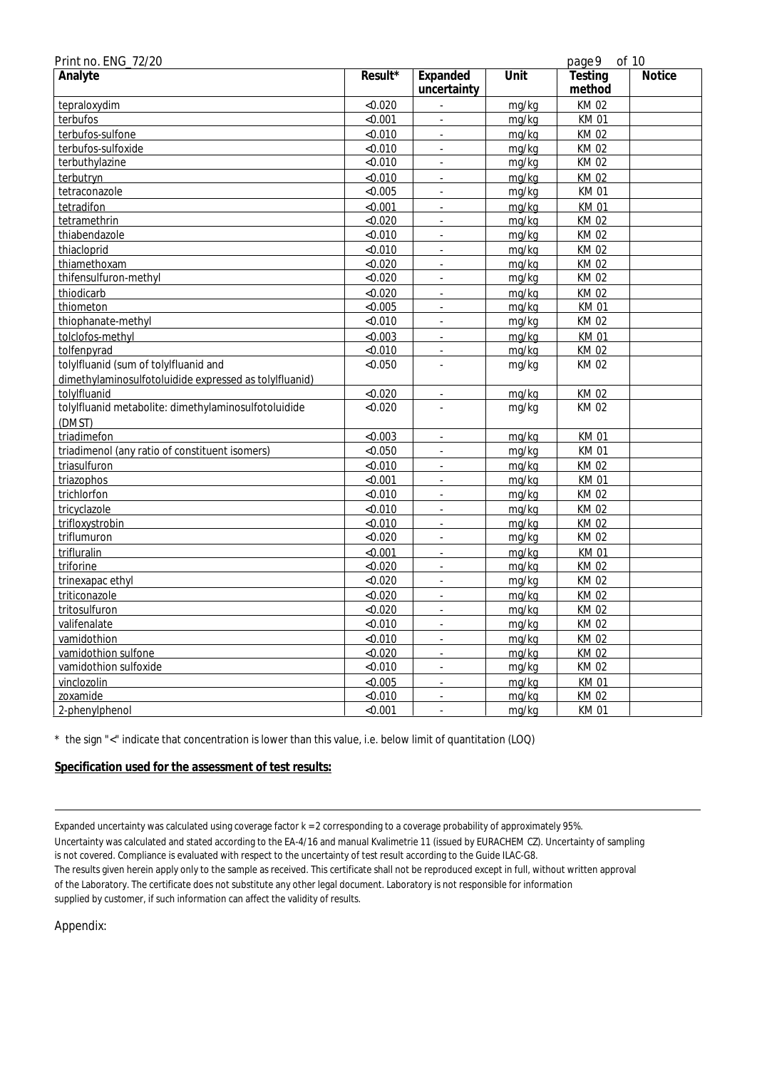| Print no. ENG_72/20                                    |         |                          |       | page 9      | of 10         |
|--------------------------------------------------------|---------|--------------------------|-------|-------------|---------------|
| Analyte                                                | Result* | Expanded                 | Unit  | Testing     | <b>Notice</b> |
|                                                        |         | uncertainty              |       | method      |               |
| tepraloxydim                                           | < 0.020 | L.                       | mg/kg | <b>KM02</b> |               |
| terbufos                                               | < 0.001 | ×.                       | mg/kg | <b>KM01</b> |               |
| terbufos-sulfone                                       | < 0.010 |                          | mg/kg | <b>KM02</b> |               |
| terbufos-sulfoxide                                     | < 0.010 | $\omega$                 | mg/kg | KM 02       |               |
| terbuthylazine                                         | < 0.010 | $\sim$                   | mg/kg | <b>KM02</b> |               |
| terbutryn                                              | < 0.010 | ä,                       | mg/kg | <b>KM02</b> |               |
| tetraconazole                                          | < 0.005 | ÷,                       | mg/kg | <b>KM01</b> |               |
| tetradifon                                             | < 0.001 |                          | mg/kg | <b>KM01</b> |               |
| tetramethrin                                           | < 0.020 | L.                       | mg/kg | KM 02       |               |
| thiabendazole                                          | < 0.010 | ä,                       | mg/kg | KM 02       |               |
| thiacloprid                                            | < 0.010 | ä,                       | mg/kg | <b>KM02</b> |               |
| thiamethoxam                                           | < 0.020 | ä,                       | mg/kg | KM 02       |               |
| thifensulfuron-methyl                                  | < 0.020 | L.                       | mg/kg | <b>KM02</b> |               |
| thiodicarb                                             | < 0.020 |                          | mg/kg | <b>KM02</b> |               |
| thiometon                                              | < 0.005 | L.                       | mg/kg | <b>KM01</b> |               |
| thiophanate-methyl                                     | < 0.010 | L.                       | mg/kg | KM 02       |               |
| tolclofos-methyl                                       | < 0.003 | L.                       | mg/kg | <b>KM01</b> |               |
| tolfenpyrad                                            | < 0.010 | L.                       | mg/kg | KM 02       |               |
| tolylfluanid (sum of tolylfluanid and                  | < 0.050 |                          | mg/kg | KM 02       |               |
| dimethylaminosulfotoluidide expressed as tolylfluanid) |         |                          |       |             |               |
| tolylfluanid                                           | < 0.020 | L.                       | mg/kg | KM 02       |               |
| tolylfluanid metabolite: dimethylaminosulfotoluidide   | < 0.020 |                          | mg/kg | KM 02       |               |
| (DMST)                                                 |         |                          |       |             |               |
| triadimefon                                            | < 0.003 | ÷,                       | mg/kg | <b>KM01</b> |               |
| triadimenol (any ratio of constituent isomers)         | < 0.050 | ÷.                       | mg/kg | <b>KM01</b> |               |
| triasulfuron                                           | < 0.010 | ä,                       | mg/kg | KM 02       |               |
| triazophos                                             | < 0.001 |                          | mg/kg | <b>KM01</b> |               |
| trichlorfon                                            | < 0.010 | $\overline{\phantom{a}}$ | mg/kg | KM 02       |               |
| tricyclazole                                           | < 0.010 | L.                       | mg/kg | <b>KM02</b> |               |
| trifloxystrobin                                        | < 0.010 | L.                       | mg/kg | KM 02       |               |
| triflumuron                                            | < 0.020 | ÷,                       | mg/kg | <b>KM02</b> |               |
| trifluralin                                            | < 0.001 | ä,                       | mg/kg | <b>KM01</b> |               |
| triforine                                              | < 0.020 | L.                       | mg/kg | <b>KM02</b> |               |
| trinexapac ethyl                                       | < 0.020 | L.                       | mg/kg | KM 02       |               |
| triticonazole                                          | < 0.020 |                          | mg/kg | <b>KM02</b> |               |
| tritosulfuron                                          | < 0.020 | $\blacksquare$           | mg/kg | KM 02       |               |
| valifenalate                                           | < 0.010 | ä,                       | mg/kg | KM 02       |               |
| vamidothion                                            | < 0.010 |                          | mg/kg | KM 02       |               |
| vamidothion sulfone                                    | < 0.020 | $\overline{a}$           | mg/kg | KM 02       |               |
| vamidothion sulfoxide                                  | < 0.010 | L.                       | mg/kg | <b>KM02</b> |               |
| vinclozolin                                            | < 0.005 | ä,                       | mg/kg | <b>KM01</b> |               |
| zoxamide                                               | < 0.010 | ä,                       | mg/kg | <b>KM02</b> |               |
| 2-phenylphenol                                         | < 0.001 |                          | mg/kg | <b>KM01</b> |               |

\* the sign "<" indicate that concentration is lower than this value, i.e. below limit of quantitation (LOQ)

**Specification used for the assessment of test results:**

Expanded uncertainty was calculated using coverage factor k = 2 corresponding to a coverage probability of approximately 95%. Uncertainty was calculated and stated according to the EA-4/16 and manual Kvalimetrie 11 (issued by EURACHEM CZ). Uncertainty of sampling is not covered. Compliance is evaluated with respect to the uncertainty of test result according to the Guide ILAC-G8. The results given herein apply only to the sample as received. This certificate shall not be reproduced except in full, without written approval of the Laboratory. The certificate does not substitute any other legal document. Laboratory is not responsible for information supplied by customer, if such information can affect the validity of results.

Appendix: